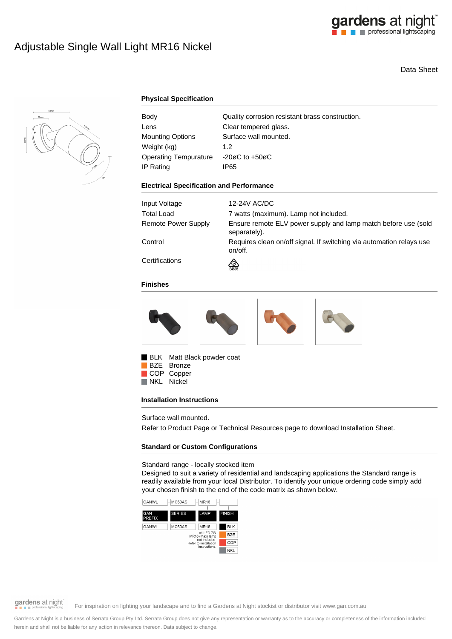

# Data Sheet



## **Physical Specification**

| Body                         | Quality corrosion resistant brass construction. |
|------------------------------|-------------------------------------------------|
| Lens                         | Clear tempered glass.                           |
| Mounting Options             | Surface wall mounted.                           |
| Weight (kg)                  | 1.2                                             |
| <b>Operating Tempurature</b> | $-20\varnothing$ C to $+50\varnothing$ C        |
| IP Rating                    | IP65                                            |

#### **Electrical Specification and Performance**

| Input Voltage       | 12-24V AC/DC                                                                    |
|---------------------|---------------------------------------------------------------------------------|
| Total Load          | 7 watts (maximum). Lamp not included.                                           |
| Remote Power Supply | Ensure remote ELV power supply and lamp match before use (sold<br>separately).  |
| Control             | Requires clean on/off signal. If switching via automation relays use<br>on/off. |
| Certifications      | জ<br>E4635                                                                      |

#### **Finishes**



BLK Matt Black powder coat

BZE Bronze COP Copper<br>NKL Nickel Nickel

#### **Installation Instructions**

Surface wall mounted.

Refer to Product Page or Technical Resources page to download Installation Sheet.

#### **Standard or Custom Configurations**

Standard range - locally stocked item

Designed to suit a variety of residential and landscaping applications the Standard range is readily available from your local Distributor. To identify your unique ordering code simply add your chosen finish to the end of the code matrix as shown below.





gardens at night

For inspiration on lighting your landscape and to find a Gardens at Night stockist or distributor visit www.gan.com.au

Gardens at Night is a business of Serrata Group Pty Ltd. Serrata Group does not give any representation or warranty as to the accuracy or completeness of the information included herein and shall not be liable for any action in relevance thereon. Data subject to change.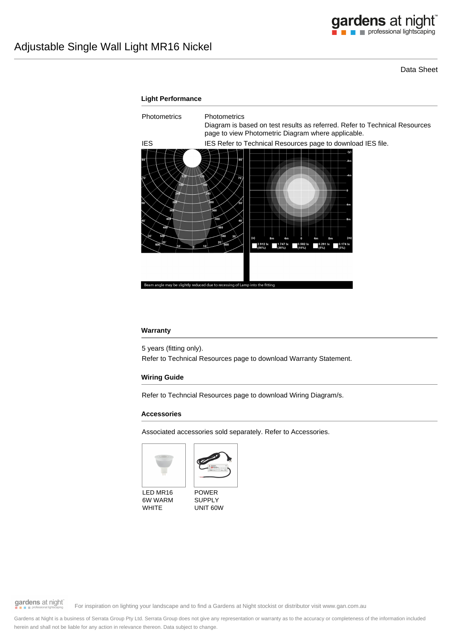Data Sheet



### **Warranty**

5 years (fitting only).

Refer to Technical Resources page to download Warranty Statement.

### **Wiring Guide**

Refer to Techncial Resources page to download Wiring Diagram/s.

### **Accessories**

Associated accessories sold separately. Refer to Accessories.





LED MR16 6W WARM WHITE



gardens at night

For inspiration on lighting your landscape and to find a Gardens at Night stockist or distributor visit www.gan.com.au

Gardens at Night is a business of Serrata Group Pty Ltd. Serrata Group does not give any representation or warranty as to the accuracy or completeness of the information included herein and shall not be liable for any action in relevance thereon. Data subject to change.